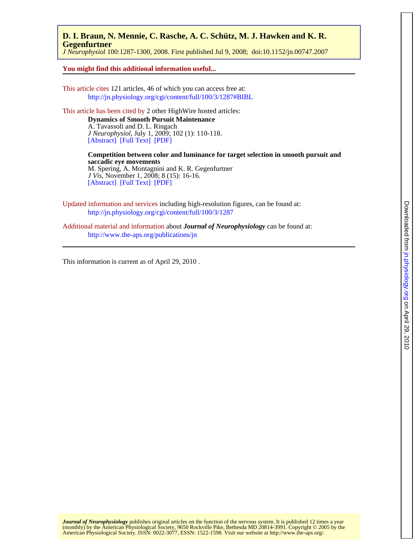## **Gegenfurtner D. I. Braun, N. Mennie, C. Rasche, A. C. Schütz, M. J. Hawken and K. R.**

*J Neurophysiol* 100:1287-1300, 2008. First published Jul 9, 2008; doi:10.1152/jn.00747.2007

**You might find this additional information useful...**

This article cites 121 articles, 46 of which you can access free at: <http://jn.physiology.org/cgi/content/full/100/3/1287#BIBL>

This article has been cited by 2 other HighWire hosted articles:

[\[Abstract\]](http://jn.physiology.org/cgi/content/abstract/102/1/110) [\[Full Text\]](http://jn.physiology.org/cgi/content/full/102/1/110) [\[PDF\]](http://jn.physiology.org/cgi/reprint/102/1/110) *J Neurophysiol*, July 1, 2009; 102 (1): 110-118. A. Tavassoli and D. L. Ringach **Dynamics of Smooth Pursuit Maintenance**

[\[Abstract\]](http://www.journalofvision.org/cgi/content/abstract/8/15/16) [\[Full Text\]](http://www.journalofvision.org/cgi/content/full/8/15/16) [\[PDF\]](http://www.journalofvision.org/cgi/reprint/8/15/16) *J Vis*, November 1, 2008; 8 (15): 16-16. M. Spering, A. Montagnini and K. R. Gegenfurtner **saccadic eye movements Competition between color and luminance for target selection in smooth pursuit and**

Updated information and services including high-resolution figures, can be found at: <http://jn.physiology.org/cgi/content/full/100/3/1287>

Additional material and information about *Journal of Neurophysiology* can be found at: <http://www.the-aps.org/publications/jn>

This information is current as of April 29, 2010 .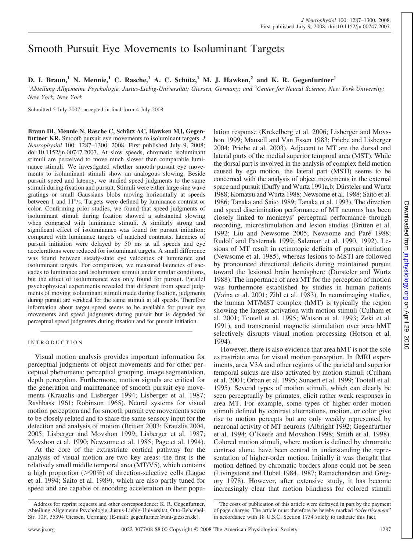# Smooth Pursuit Eye Movements to Isoluminant Targets

**D. I. Braun,**<sup>1</sup> **N. Mennie,**<sup>1</sup> **C. Rasche,**<sup>1</sup> **A. C. Schütz,**<sup>1</sup> **M. J. Hawken,**<sup>2</sup> and **K. R. Gegenfurtner**<sup>1</sup>

<sup>1</sup>Abteilung Allgemeine Psychologie, Justus-Liebig-Universität; Giessen, Germany; and <sup>2</sup>Center for Neural Science, New York University; *New York, New York*

Submitted 5 July 2007; accepted in final form 4 July 2008

Braun DI, Mennie N, Rasche C, Schütz AC, Hawken MJ, Gegen**furtner KR.** Smooth pursuit eye movements to isoluminant targets. *J Neurophysiol* 100: 1287–1300, 2008. First published July 9, 2008; doi:10.1152/jn.00747.2007. At slow speeds, chromatic isoluminant stimuli are perceived to move much slower than comparable luminance stimuli. We investigated whether smooth pursuit eye movements to isoluminant stimuli show an analogous slowing. Beside pursuit speed and latency, we studied speed judgments to the same stimuli during fixation and pursuit. Stimuli were either large sine wave gratings or small Gaussians blobs moving horizontally at speeds between 1 and 11°/s. Targets were defined by luminance contrast or color. Confirming prior studies, we found that speed judgments of isoluminant stimuli during fixation showed a substantial slowing when compared with luminance stimuli. A similarly strong and significant effect of isoluminance was found for pursuit initiation: compared with luminance targets of matched contrasts, latencies of pursuit initiation were delayed by 50 ms at all speeds and eye accelerations were reduced for isoluminant targets. A small difference was found between steady-state eye velocities of luminance and isoluminant targets. For comparison, we measured latencies of saccades to luminance and isoluminant stimuli under similar conditions, but the effect of isoluminance was only found for pursuit. Parallel psychophysical experiments revealed that different from speed judgments of moving isoluminant stimuli made during fixation, judgments during pursuit are veridical for the same stimuli at all speeds. Therefore information about target speed seems to be available for pursuit eye movements and speed judgments during pursuit but is degraded for perceptual speed judgments during fixation and for pursuit initiation.

#### INTRODUCTION

Visual motion analysis provides important information for perceptual judgments of object movements and for other perceptual phenomena: perceptual grouping, image segmentation, depth perception. Furthermore, motion signals are critical for the generation and maintenance of smooth pursuit eye movements (Krauzlis and Lisberger 1994; Lisberger et al. 1987; Rashbass 1961; Robinson 1965). Neural systems for visual motion perception and for smooth pursuit eye movements seem to be closely related and to share the same sensory input for the detection and analysis of motion (Britten 2003; Krauzlis 2004, 2005; Lisberger and Movshon 1999; Lisberger et al. 1987; Movshon et al. 1990; Newsome et al. 1985; Page et al. 1994).

At the core of the extrastriate cortical pathway for the analysis of visual motion are two key areas: the first is the relatively small middle temporal area (MT/V5), which contains a high proportion (90%) of direction-selective cells (Lagae et al. 1994; Saito et al. 1989), which are also partly tuned for speed and are capable of encoding acceleration in their population response (Krekelberg et al. 2006; Lisberger and Movshon 1999; Mausell and Van Essen 1983; Priebe and Lisberger 2004; Priebe et al. 2003). Adjacent to MT are the dorsal and lateral parts of the medial superior temporal area (MST). While the dorsal part is involved in the analysis of complex field motion caused by ego motion, the lateral part (MSTl) seems to be concerned with the analysis of object movements in the external space and pursuit (Duffy and Wurtz 1991a,b; Dürsteler and Wurtz 1988; Komatsu and Wurtz 1988; Newsome et al. 1988; Saito et al. 1986; Tanaka and Saito 1989; Tanaka et al. 1993). The direction and speed discrimination performance of MT neurons has been closely linked to monkeys' perceptual performance through recording, microstimulation and lesion studies (Britten et al. 1992; Liu and Newsome 2005; Newsome and Pare´ 1988; Rudolf and Pasternak 1999; Salzman et al. 1990, 1992). Lesions of MT result in retinotopic deficits of pursuit initiation (Newsome et al. 1985), whereas lesions to MSTl are followed by pronounced directional deficits during maintained pursuit toward the lesioned brain hemisphere (Dürsteler and Wurtz 1988). The importance of area MT for the perception of motion was furthermore established by studies in human patients (Vaina et al. 2001; Zihl et al. 1983). In neuroimaging studies, the human MT/MST complex (hMT) is typically the region showing the largest activation with motion stimuli (Culham et al. 2001; Tootell et al. 1995; Watson et al. 1993; Zeki et al. 1991), and transcranial magnetic stimulation over area hMT selectively disrupts visual motion processing (Hotson et al. 1994).

However, there is also evidence that area hMT is not the sole extrastriate area for visual motion perception. In fMRI experiments, area V3A and other regions of the parietal and superior temporal sulcus are also activated by motion stimuli (Culham et al. 2001; Orban et al. 1995; Sunaert et al. 1999; Tootell et al. 1995). Several types of motion stimuli, which can clearly be seen perceptually by primates, elicit rather weak responses in area MT. For example, some types of higher-order motion stimuli defined by contrast alternations, motion, or color give rise to motion percepts but are only weakly represented by neuronal activity of MT neurons (Albright 1992; Gegenfurtner et al. 1994; O'Keefe and Movshon 1998; Smith et al. 1998). Colored motion stimuli, where motion is defined by chromatic contrast alone, have been central in understanding the representation of higher-order motion. Initially it was thought that motion defined by chromatic borders alone could not be seen (Livingstone and Hubel 1984, 1987; Ramachandran and Gregory 1978). However, after extensive study, it has become increasingly clear that motion blindness for colored stimuli

Address for reprint requests and other correspondence: K. R. Gegenfurtner, Abteilung Allgemeine Psychologie, Justus-Liebig-Universität, Otto-Behaghel-Str. 10F, 35394 Giessen, Germany (E-mail: gegenfurtner@uni-giessen.de).

Downloaded from jn.physiology.org on April 29, Downloadedfrom [jn.physiology.org](http://jn.physiology.org) on April 29, 2010  $0102$ 

The costs of publication of this article were defrayed in part by the payment of page charges. The article must therefore be hereby marked "*advertisement*" in accordance with 18 U.S.C. Section 1734 solely to indicate this fact.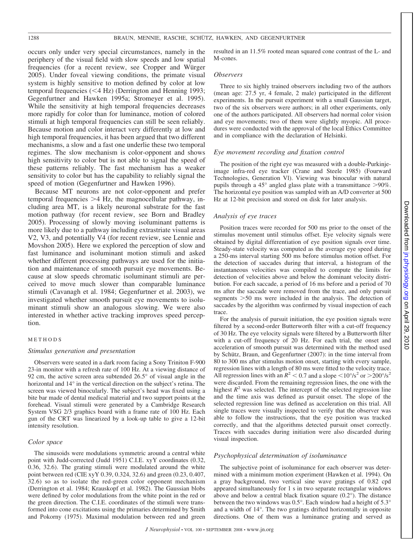occurs only under very special circumstances, namely in the periphery of the visual field with slow speeds and low spatial frequencies (for a recent review, see Cropper and Würger 2005). Under foveal viewing conditions, the primate visual system is highly sensitive to motion defined by color at low temporal frequencies  $(<$  4 Hz) (Derrington and Henning 1993; Gegenfurtner and Hawken 1995a; Stromeyer et al. 1995). While the sensitivity at high temporal frequencies decreases more rapidly for color than for luminance, motion of colored stimuli at high temporal frequencies can still be seen reliably. Because motion and color interact very differently at low and high temporal frequencies, it has been argued that two different mechanisms, a slow and a fast one underlie these two temporal regimes. The slow mechanism is color-opponent and shows high sensitivity to color but is not able to signal the speed of these patterns reliably. The fast mechanism has a weaker sensitivity to color but has the capability to reliably signal the speed of motion (Gegenfurtner and Hawken 1996).

Because MT neurons are not color-opponent and prefer temporal frequencies  $>4$  Hz, the magnocellular pathway, including area MT, is a likely neuronal substrate for the fast motion pathway (for recent review, see Born and Bradley 2005). Processing of slowly moving isoluminant patterns is more likely due to a pathway including extrastriate visual areas V2, V3, and potentially V4 (for recent review, see Lennie and Movshon 2005). Here we explored the perception of slow and fast luminance and isoluminant motion stimuli and asked whether different processing pathways are used for the initiation and maintenance of smooth pursuit eye movements. Because at slow speeds chromatic isoluminant stimuli are perceived to move much slower than comparable luminance stimuli (Cavanagh et al. 1984; Gegenfurtner et al. 2003), we investigated whether smooth pursuit eye movements to isoluminant stimuli show an analogous slowing. We were also interested in whether active tracking improves speed perception.

### METHODS

#### *Stimulus generation and presentation*

Observers were seated in a dark room facing a Sony Triniton F-900 23-in monitor with a refresh rate of 100 Hz. At a viewing distance of 92 cm, the active screen area subtended 26.5° of visual angle in the horizontal and 14° in the vertical direction on the subject's retina. The screen was viewed binocularly. The subject's head was fixed using a bite bar made of dental medical material and two support points at the forehead. Visual stimuli were generated by a Cambridge Research System VSG 2/3 graphics board with a frame rate of 100 Hz. Each gun of the CRT was linearized by a look-up table to give a 12-bit intensity resolution.

#### *Color space*

The sinusoids were modulations symmetric around a central white point with Judd-corrected (Judd 1951) C.I.E. xyY coordinates (0.32, 0.36, 32.6). The grating stimuli were modulated around the white point between red (CIE xyY 0.39, 0.324, 32.6) and green (0.23, 0.407, 32.6) so as to isolate the red-green color opponent mechanism (Derrington et al. 1984; Krauskopf et al. 1982). The Gaussian blobs were defined by color modulations from the white point in the red or the green direction. The C.I.E. coordinates of the stimuli were transformed into cone excitations using the primaries determined by Smith and Pokorny (1975). Maximal modulation between red and green

resulted in an 11.5% rooted mean squared cone contrast of the L- and M-cones.

#### *Observers*

Three to six highly trained observers including two of the authors (mean age: 27.5 yr, 4 female, 2 male) participated in the different experiments. In the pursuit experiment with a small Gaussian target, two of the six observers were authors; in all other experiments, only one of the authors participated. All observers had normal color vision and eye movements; two of them were slightly myopic. All procedures were conducted with the approval of the local Ethics Committee and in compliance with the declaration of Helsinki.

#### *Eye movement recording and fixation control*

The position of the right eye was measured with a double-Purkinjeimage infra-red eye tracker (Crane and Steele 1985) (Fourward Technologies, Generation Vl). Viewing was binocular with natural pupils through a 45 $^{\circ}$  angled glass plate with a transmittance  $>90\%$ . The horizontal eye position was sampled with an A/D converter at 500 Hz at 12-bit precision and stored on disk for later analysis.

#### *Analysis of eye traces*

Position traces were recorded for 500 ms prior to the onset of the stimulus movement until stimulus offset. Eye velocity signals were obtained by digital differentiation of eye position signals over time. Steady-state velocity was computed as the average eye speed during a 250-ms interval starting 500 ms before stimulus motion offset. For the detection of saccades during that interval, a histogram of the instantaneous velocities was compiled to compute the limits for detection of velocities above and below the dominant velocity distribution. For each saccade, a period of 16 ms before and a period of 70 ms after the saccade were removed from the trace, and only pursuit segments  $>50$  ms were included in the analysis. The detection of saccades by the algorithm was confirmed by visual inspection of each trace.

For the analysis of pursuit initiation, the eye position signals were filtered by a second-order Butterworth filter with a cut-off frequency of 30 Hz. The eye velocity signals were filtered by a Butterworth filter with a cut-off frequency of 20 Hz. For each trial, the onset and acceleration of smooth pursuit was determined with the method used by Schütz, Braun, and Gegenfurtner (2007): in the time interval from 80 to 300 ms after stimulus motion onset, starting with every sample, regression lines with a length of 80 ms were fitted to the velocity trace. All regression lines with an  $R^2$  < 0.7 and a slope  $\langle 10^{\circ}/s^2 \text{ or } 200^{\circ}/s^2 \rangle$ were discarded. From the remaining regression lines, the one with the highest  $R^2$  was selected. The intercept of the selected regression line and the time axis was defined as pursuit onset. The slope of the selected regression line was defined as acceleration on this trial. All single traces were visually inspected to verify that the observer was able to follow the instructions, that the eye position was tracked correctly, and that the algorithms detected pursuit onset correctly. Traces with saccades during initiation were also discarded during visual inspection.

## *Psychophysical determination of isoluminance*

The subjective point of isoluminance for each observer was determined with a minimum motion experiment (Hawken et al. 1994). On a gray background, two vertical sine wave gratings of 0.82 cpd appeared simultaneously for 1 s in two separate rectangular windows above and below a central black fixation square (0.2°). The distance between the two windows was 0.5°. Each window had a height of 5.3° and a width of 14°. The two gratings drifted horizontally in opposite directions. One of them was a luminance grating and served as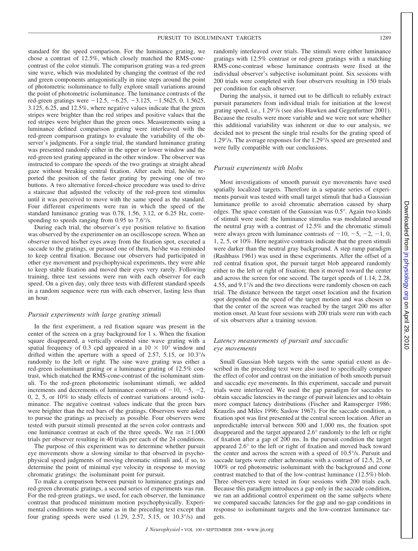standard for the speed comparison. For the luminance grating, we chose a contrast of 12.5%, which closely matched the RMS-conecontrast of the color stimuli. The comparison grating was a red-green sine wave, which was modulated by changing the contrast of the red and green components antagonistically in nine steps around the point of photometric isoluminance to fully explore small variations around the point of photometric isoluminance. The luminance contrasts of the red-green gratings were  $-12.5, -6.25, -3.125, -1.5625, 0, 1.5625,$ 3.125, 6.25, and 12.5%, where negative values indicate that the green stripes were brighter than the red stripes and positive values that the red stripes were brighter than the green ones. Measurements using a luminance defined comparison grating were interleaved with the red-green comparison gratings to evaluate the variability of the observer's judgments. For a single trial, the standard luminance grating was presented randomly either in the upper or lower window and the red-green test grating appeared in the other window. The observer was instructed to compare the speeds of the two gratings at straight ahead gaze without breaking central fixation. After each trial, he/she reported the position of the faster grating by pressing one of two buttons. A two alternative forced-choice procedure was used to drive a staircase that adjusted the velocity of the red-green test stimulus until it was perceived to move with the same speed as the standard. Four different experiments were run in which the speed of the standard luminance grating was 0.78, 1.56, 3.12, or 6.25 Hz, corresponding to speeds ranging from 0.95 to 7.6°/s.

During each trial, the observer's eye position relative to fixation was observed by the experimenter on an oscilloscope screen. When an observer moved his/her eyes away from the fixation spot, executed a saccade to the gratings, or pursued one of them, he/she was reminded to keep central fixation. Because our observers had participated in other eye movement and psychophysical experiments, they were able to keep stable fixation and moved their eyes very rarely. Following training, three test sessions were run with each observer for each speed. On a given day, only three tests with different standard speeds in a random sequence were run with each observer, lasting less than an hour.

#### *Pursuit experiments with large grating stimuli*

In the first experiment, a red fixation square was present in the center of the screen on a gray background for 1 s. When the fixation square disappeared, a vertically oriented sine wave grating with a spatial frequency of 0.3 cpd appeared in a  $10 \times 10^{\circ}$  window and drifted within the aperture with a speed of 2.57, 5.15, or 10.3°/s randomly to the left or right. The sine wave grating was either a red-green isoluminant grating or a luminance grating of 12.5% contrast, which matched the RMS-cone-contrast of the isoluminant stimuli. To the red-green photometric isoluminant stimuli, we added increments and decrements of luminance contrasts of  $-10, -5, -2$ , 0, 2, 5, or 10% to study effects of contrast variations around isoluminance. The negative contrast values indicate that the green bars were brighter than the red bars of the gratings. Observers were asked to pursue the gratings as precisely as possible. Four observers were tested with pursuit stimuli presented at the seven color contrasts and one luminance contrast at each of the three speeds. We ran  $\geq 1,000$ trials per observer resulting in 40 trials per each of the 24 conditions.

The purpose of this experiment was to determine whether pursuit eye movements show a slowing similar to that observed in psychophysical speed judgments of moving chromatic stimuli and, if so, to determine the point of minimal eye velocity in response to moving chromatic gratings: the isoluminant point for pursuit.

To make a comparison between pursuit to luminance gratings and red-green chromatic gratings, a second series of experiments was run. For the red-green gratings, we used, for each observer, the luminance contrast that produced minimum motion psychophysically. Experimental conditions were the same as in the preceding text except that four grating speeds were used  $(1.29, 2.57, 5.15, or 10.3\degree/s)$  and randomly interleaved over trials. The stimuli were either luminance gratings with 12.5% contrast or red-green gratings with a matching RMS-cone-contrast whose luminance contrasts were fixed at the individual observer's subjective isoluminant point. Six sessions with 200 trials were completed with four observers resulting in 150 trials per condition for each observer.

During the analysis, it turned out to be difficult to reliably extract pursuit parameters from individual trials for initiation at the lowest grating speed, i.e., 1.29°/s (see also Hawken and Gegenfurtner 2001). Because the results were more variable and we were not sure whether this additional variability was inherent or due to our analysis, we decided not to present the single trial results for the grating speed of 1.29°/s. The average responses for the 1.29°/s speed are presented and were fully compatible with our conclusions.

#### *Pursuit experiments with blobs*

Most investigations of smooth pursuit eye movements have used spatially localized targets. Therefore in a separate series of experiments pursuit was tested with small target stimuli that had a Gaussian luminance profile to avoid chromatic aberration caused by sharp edges. The space constant of the Gaussian was 0.5°. Again two kinds of stimuli were used: the luminance stimulus was modulated around the neutral gray with a contrast of 12.5% and the chromatic stimuli were always green with luminance contrasts of  $-10, -5, -2, -1, 0$ , 1, 2, 5, or 10%. Here negative contrasts indicate that the green stimuli were darker than the neutral gray background. A step ramp paradigm (Rashbass 1961) was used in these experiments. After the offset of a red central fixation spot, the pursuit target blob appeared randomly either to the left or right of fixation; then it moved toward the center and across the screen for one second. The target speeds of 1.14, 2.28, 4.55, and 9.1°/s and the two directions were randomly chosen on each trial. The distance between the target onset location and the fixation spot depended on the speed of the target motion and was chosen so that the center of the screen was reached by the target 200 ms after motion onset. At least four sessions with 200 trials were run with each of six observers after a training session.

## *Latency measurements of pursuit and saccadic eye movements*

Small Gaussian blob targets with the same spatial extent as described in the preceding text were also used to specifically compare the effect of color and contrast on the initiation of both smooth pursuit and saccadic eye movements. In this experiment, saccade and pursuit trials were interleaved. We used the gap paradigm for saccades to obtain saccadic latencies in the range of pursuit latencies and to obtain more compact latency distributions (Fischer and Ramsperger 1986; Krauzlis and Miles 1996; Saslow 1967). For the saccade condition, a fixation spot was first presented at the central screen location. After an unpredictable interval between 500 and 1,000 ms, the fixation spot disappeared and the target appeared 2.6° randomly to the left or right of fixation after a gap of 200 ms. In the pursuit condition the target appeared 2.6° to the left or right of fixation and moved back toward the center and across the screen with a speed of 10.5°/s. Pursuit and saccade targets were either achromatic with a contrast of 12.5, 25, or 100% or red photometric isoluminant with the background and cone contrast matched to that of the low-contrast luminance (12.5%) blob. Three observers were tested in four sessions with 200 trials each. Because this paradigm introduces a gap only in the saccade condition, we ran an additional control experiment on the same subjects where we compared saccadic latencies for the gap and no-gap conditions in response to isoluminant targets and the low-contrast luminance targets.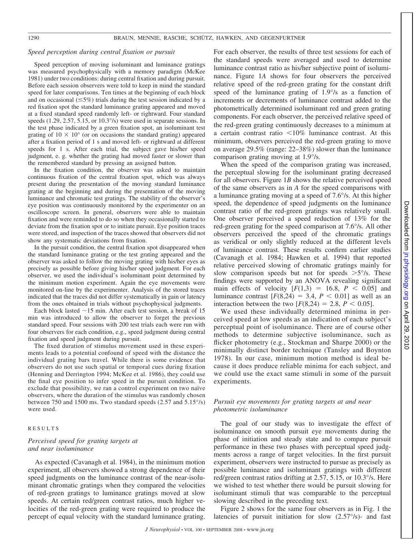## *Speed perception during central fixation or pursuit*

Speed perception of moving isoluminant and luminance gratings was measured psychophysically with a memory paradigm (McKee 1981) under two conditions: during central fixation and during pursuit. Before each session observers were told to keep in mind the standard speed for later comparisons. Ten times at the beginning of each block and on occasional  $(\leq 5\%)$  trials during the test session indicated by a red fixation spot the standard luminance grating appeared and moved at a fixed standard speed randomly left- or rightward. Four standard speeds (1.29, 2.57, 5.15, or 10.3%) were used in separate sessions. In the test phase indicated by a green fixation spot, an isoluminant test grating of  $10 \times 10^{\circ}$  (or on occasions the standard grating) appeared after a fixation period of 1 s and moved left- or rightward at different speeds for 1 s. After each trial, the subject gave his/her speed judgment, e. g. whether the grating had moved faster or slower than the remembered standard by pressing an assigned button.

In the fixation condition, the observer was asked to maintain continuous fixation of the central fixation spot, which was always present during the presentation of the moving standard luminance grating at the beginning and during the presentation of the moving luminance and chromatic test gratings. The stability of the observer's eye position was continuously monitored by the experimenter on an oscilloscope screen. In general, observers were able to maintain fixation and were reminded to do so when they occasionally started to deviate from the fixation spot or to initiate pursuit. Eye position traces were stored, and inspection of the traces showed that observers did not show any systematic deviations from fixation.

In the pursuit condition, the central fixation spot disappeared when the standard luminance grating or the test grating appeared and the observer was asked to follow the moving grating with his/her eyes as precisely as possible before giving his/her speed judgment. For each observer, we used the individual's isoluminant point determined by the minimum motion experiment. Again the eye movements were monitored on-line by the experimenter. Analysis of the stored traces indicated that the traces did not differ systematically in gain or latency from the ones obtained in trials without psychophysical judgments.

Each block lasted  $\sim$  15 min. After each test session, a break of 15 min was introduced to allow the observer to forget the previous standard speed. Four sessions with 200 test trials each were run with four observers for each condition, e.g., speed judgment during central fixation and speed judgment during pursuit.

The fixed duration of stimulus movement used in these experiments leads to a potential confound of speed with the distance the individual grating bars travel. While there is some evidence that observers do not use such spatial or temporal cues during fixation (Henning and Derrington 1994; McKee et al. 1986), they could use the final eye position to infer speed in the pursuit condition. To exclude that possibility, we ran a control experiment on two naïve observers, where the duration of the stimulus was randomly chosen between 750 and 1500 ms. Two standard speeds  $(2.57 \text{ and } 5.15\degree/s)$ were used.

## RESULTS

## *Perceived speed for grating targets at and near isoluminance*

As expected (Cavanagh et al. 1984), in the minimum motion experiment, all observers showed a strong dependence of their speed judgments on the luminance contrast of the near-isoluminant chromatic gratings when they compared the velocities of red-green gratings to luminance gratings moved at slow speeds. At certain red/green contrast ratios, much higher velocities of the red-green grating were required to produce the percept of equal velocity with the standard luminance grating.

For each observer, the results of three test sessions for each of the standard speeds were averaged and used to determine luminance contrast ratio as his/her subjective point of isoluminance. Figure 1*A* shows for four observers the perceived relative speed of the red-green grating for the constant drift speed of the luminance grating of 1.9°/s as a function of increments or decrements of luminance contrast added to the photometrically determined isoluminant red and green grating components. For each observer, the perceived relative speed of the red-green grating continuously decreases to a minimum at a certain contrast ratio  $\langle 10\%$  luminance contrast. At this minimum, observers perceived the red-green grating to move on average 29.5% (range: 22–38%) slower than the luminance comparison grating moving at 1.9°/s.

When the speed of the comparison grating was increased, the perceptual slowing for the isoluminant grating decreased for all observers. Figure 1*B* shows the relative perceived speed of the same observers as in *A* for the speed comparisons with a luminance grating moving at a speed of 7.6°/s. At this higher speed, the dependence of speed judgments on the luminance contrast ratio of the red-green gratings was relatively small. One observer perceived a speed reduction of 13% for the red-green grating for the speed comparison at 7.6°/s. All other observers perceived the speed of the chromatic gratings as veridical or only slightly reduced at the different levels of luminance contrast. These results confirm earlier studies (Cavanagh et al. 1984; Hawken et al. 1994) that reported relative perceived slowing of chromatic gratings mainly for slow comparison speeds but not for speeds  $>5^{\circ}/s$ . These findings were supported by an ANOVA revealing significant main effects of velocity  $[F(1,3) = 16.8, P < 0.05]$  and luminance contrast  $[F(8,24) = 3.4, P < 0.01]$  as well as an interaction between the two  $[F(8,24) = 2.8, P < 0.05]$ .

We used these individually determined minima in perceived speed at low speeds as an indication of each subject's perceptual point of isoluminance. There are of course other methods to determine subjective isoluminance, such as flicker photometry (e.g., Stockman and Sharpe 2000) or the minimally distinct border technique (Tansley and Boynton 1978). In our case, minimum motion method is ideal because it does produce reliable minima for each subject, and we could use the exact same stimuli in some of the pursuit experiments.

### *Pursuit eye movements for grating targets at and near photometric isoluminance*

The goal of our study was to investigate the effect of isoluminance on smooth pursuit eye movements during the phase of initiation and steady state and to compare pursuit performance in these two phases with perceptual speed judgments across a range of target velocities. In the first pursuit experiment, observers were instructed to pursue as precisely as possible luminance and isoluminant gratings with different red/green contrast ratios drifting at 2.57, 5.15, or 10.3°/s. Here we wished to test whether there would be pursuit slowing for isoluminant stimuli that was comparable to the perceptual slowing described in the preceding text.

Figure 2 shows for the same four observers as in Fig. 1 the latencies of pursuit initiation for slow (2.57°/s)- and fast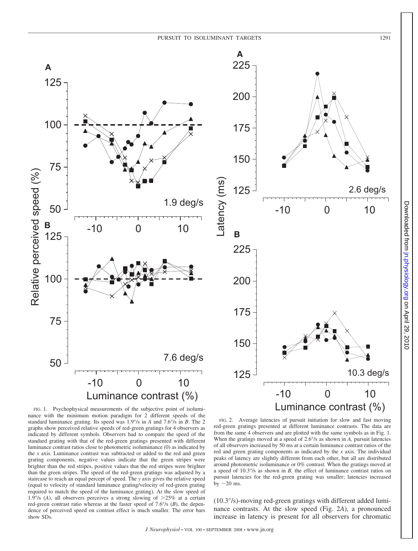



FIG. 1. Psychophysical measurements of the subjective point of isoluminance with the minimum motion paradigm for 2 different speeds of the standard luminance grating. Its speed was 1.9°/s in *A* and 7.6°/s in *B*. The 2 graphs show perceived relative speeds of red-green gratings for 4 observers as indicated by different symbols. Observers had to compare the speed of the standard grating with that of the red-green gratings presented with different luminance contrast ratios close to photometric isoluminance (0) as indicated by the *x* axis. Luminance contrast was subtracted or added to the red and green grating components, negative values indicate that the green stripes were brighter than the red stripes, positive values that the red stripes were brighter than the green stripes. The speed of the red-green gratings was adjusted by a staircase to reach an equal percept of speed. The *y* axis gives the relative speed (equal to velocity of standard luminance grating/velocity of red-green grating required to match the speed of the luminance grating). At the slow speed of 1.9°/s (A), all observers perceives a strong slowing of  $>25\%$  at a certain red-green contrast ratio whereas at the faster speed of 7.6°/s (*B*), the dependence of perceived speed on contrast effect is much smaller. The error bars show SDs.

FIG. 2. Average latencies of pursuit initiation for slow and fast moving red-green gratings presented at different luminance contrasts. The data are from the same 4 observers and are plotted with the same symbols as in Fig. 1. When the gratings moved at a speed of 2.6°/s as shown in *A,* pursuit latencies of all observers increased by 50 ms at a certain luminance contrast ratios of the red and green grating components as indicated by the *x* axis. The individual peaks of latency are slightly different from each other, but all are distributed around photometric isoluminance or 0% contrast. When the gratings moved at a speed of 10.3°/s as shown in *B,* the effect of luminance contrast ratios on pursuit latencies for the red-green grating was smaller; latencies increased by  $\sim$  20 ms.

(10.3°/s)-moving red-green gratings with different added luminance contrasts. At the slow speed (Fig. 2*A*), a pronounced increase in latency is present for all observers for chromatic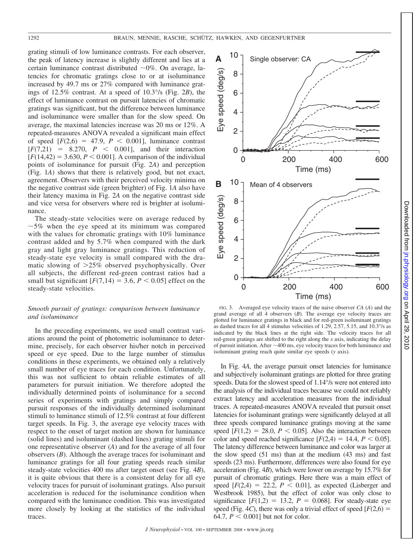grating stimuli of low luminance contrasts. For each observer, the peak of latency increase is slightly different and lies at a certain luminance contrast distributed  $\sim 0\%$ . On average, latencies for chromatic gratings close to or at isoluminance increased by 49.7 ms or 27% compared with luminance gratings of 12.5% contrast. At a speed of 10.3°/s (Fig. 2*B*), the effect of luminance contrast on pursuit latencies of chromatic gratings was significant, but the difference between luminance and isoluminance were smaller than for the slow speed. On average, the maximal latencies increase was 20 ms or 12%. A repeated-measures ANOVA revealed a significant main effect of speed  $[F(2,6) = 47.9, P \le 0.001]$ , luminance contrast  $[F(7,21) = 8.270, P < 0.001]$ , and their interaction  $[F(14,42) = 3.630, P \le 0.001]$ . A comparison of the individual points of isoluminance for pursuit (Fig. 2*A*) and perception (Fig. 1*A*) shows that there is relatively good, but not exact, agreement. Observers with their perceived velocity minima on the negative contrast side (green brighter) of Fig. 1*A* also have their latency maxima in Fig. 2*A* on the negative contrast side and vice versa for observers where red is brighter at isoluminance.

The steady-state velocities were on average reduced by  $\sim$  5% when the eye speed at its minimum was compared with the values for chromatic gratings with 10% luminance contrast added and by 5.7% when compared with the dark gray and light gray luminance gratings. This reduction of steady-state eye velocity is small compared with the dramatic slowing of  $>25\%$  observed psychophysically. Over all subjects, the different red-green contrast ratios had a small but significant  $[F(7,14) = 3.6, P < 0.05]$  effect on the steady-state velocities.

## *Smooth pursuit of gratings: comparison between luminance and isoluminance*

In the preceding experiments, we used small contrast variations around the point of photometric isoluminance to determine, precisely, for each observer his/her notch in perceived speed or eye speed. Due to the large number of stimulus conditions in these experiments, we obtained only a relatively small number of eye traces for each condition. Unfortunately, this was not sufficient to obtain reliable estimates of all parameters for pursuit initiation. We therefore adopted the individually determined points of isoluminance for a second series of experiments with gratings and simply compared pursuit responses of the individually determined isoluminant stimuli to luminance stimuli of 12.5% contrast at four different target speeds. In Fig. 3, the average eye velocity traces with respect to the onset of target motion are shown for luminance (solid lines) and isoluminant (dashed lines) grating stimuli for one representative observer (*A*) and for the average of all four observers (*B*). Although the average traces for isoluminant and luminance gratings for all four grating speeds reach similar steady-state velocities 400 ms after target onset (see Fig. 4*B*), it is quite obvious that there is a consistent delay for all eye velocity traces for pursuit of isoluminant gratings. Also pursuit acceleration is reduced for the isoluminance condition when compared with the luminance condition. This was investigated more closely by looking at the statistics of the individual traces.



FIG. 3. Averaged eye velocity traces of the naive observer *CA* (*A*) and the grand average of all 4 observers (*B*). The average eye velocity traces are plotted for luminance gratings in black and for red-green isoluminant gratings as dashed traces for all 4 stimulus velocities of 1.29, 2.57, 5.15, and 10.3°/s as indicated by the black lines at the right side. The velocity traces for all red-green gratings are shifted to the right along the *x* axis, indicating the delay of pursuit initiation. After  $\sim$  400 ms, eye velocity traces for both luminance and isoluminant grating reach quite similar eye speeds (*y* axis).

In Fig. 4*A,* the average pursuit onset latencies for luminance and subjectively isoluminant gratings are plotted for three grating speeds. Data for the slowest speed of 1.14°/s were not entered into the analysis of the individual traces because we could not reliably extract latency and acceleration measures from the individual traces. A repeated-measures ANOVA revealed that pursuit onset latencies for isoluminant gratings were significantly delayed at all three speeds compared luminance gratings moving at the same speed  $[F(1,2) = 28.0, P \le 0.05]$ . Also the interaction between color and speed reached significance  $[F(2,4) = 14.4, P \le 0.05]$ . The latency difference between luminance and color was larger at the slow speed (51 ms) than at the medium (43 ms) and fast speeds (23 ms). Furthermore, differences were also found for eye acceleration (Fig. 4*B*), which were lower on average by 15.7% for pursuit of chromatic gratings. Here there was a main effect of speed  $[F(2,4) = 22.2, P \le 0.01]$ , as expected (Lisberger and Westbrook 1985), but the effect of color was only close to significance  $[F(1,2) = 13.2, P = 0.068]$ . For steady-state eye speed (Fig. 4*C*), there was only a trivial effect of speed  $[F(2,6) =$ 64.7,  $P < 0.001$ ] but not for color.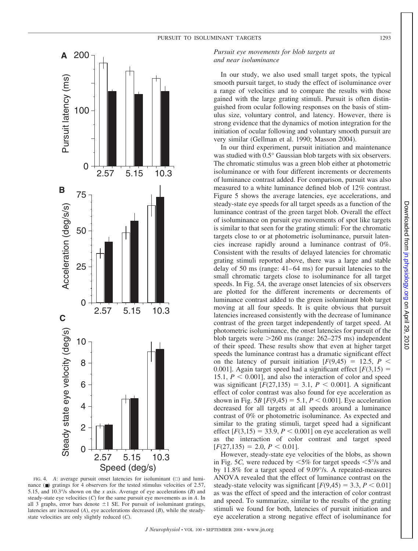

FIG. 4. A: average pursuit onset latencies for isoluminant  $(\square)$  and luminance (■) gratings for 4 observers for the tested stimulus velocities of 2.57, 5.15, and 10.3°/s shown on the *x* axis. Average of eye accelerations (*B*) and steady-state eye velocities (*C*) for the same pursuit eye movements as in *A*. In all 3 graphs, error bars denote  $\pm 1$  SE. For pursuit of isoluminant gratings, latencies are increased (*A*), eye accelerations decreased (*B*), while the steadystate velocities are only slightly reduced (*C*).

## *Pursuit eye movements for blob targets at and near isoluminance*

In our study, we also used small target spots, the typical smooth pursuit target, to study the effect of isoluminance over a range of velocities and to compare the results with those gained with the large grating stimuli. Pursuit is often distinguished from ocular following responses on the basis of stimulus size, voluntary control, and latency. However, there is strong evidence that the dynamics of motion integration for the initiation of ocular following and voluntary smooth pursuit are very similar (Gellman et al. 1990; Masson 2004).

In our third experiment, pursuit initiation and maintenance was studied with 0.5° Gaussian blob targets with six observers. The chromatic stimulus was a green blob either at photometric isoluminance or with four different increments or decrements of luminance contrast added. For comparison, pursuit was also measured to a white luminance defined blob of 12% contrast. Figure 5 shows the average latencies, eye accelerations, and steady-state eye speeds for all target speeds as a function of the luminance contrast of the green target blob. Overall the effect of isoluminance on pursuit eye movements of spot like targets is similar to that seen for the grating stimuli: For the chromatic targets close to or at photometric isoluminance, pursuit latencies increase rapidly around a luminance contrast of 0%. Consistent with the results of delayed latencies for chromatic grating stimuli reported above, there was a large and stable delay of 50 ms (range: 41–64 ms) for pursuit latencies to the small chromatic targets close to isoluminance for all target speeds. In Fig. 5*A,* the average onset latencies of six observers are plotted for the different increments or decrements of luminance contrast added to the green isoluminant blob target moving at all four speeds. It is quite obvious that pursuit latencies increased consistently with the decrease of luminance contrast of the green target independently of target speed. At photometric isoluminance, the onset latencies for pursuit of the blob targets were 260 ms (range: 262–275 ms) independent of their speed. These results show that even at higher target speeds the luminance contrast has a dramatic significant effect on the latency of pursuit initiation  $[F(9,45) = 12.5, P <$ 0.001]. Again target speed had a significant effect  $[F(3,15) =$ 15.1,  $P \le 0.001$ ], and also the interaction of color and speed was significant  $[F(27, 135) = 3.1, P < 0.001]$ . A significant effect of color contrast was also found for eye acceleration as shown in Fig. 5*B*  $[F(9,45) = 5.1, P \le 0.001]$ . Eye acceleration decreased for all targets at all speeds around a luminance contrast of 0% or photometric isoluminance. As expected and similar to the grating stimuli, target speed had a significant effect  $[F(3,15) = 33.9, P \le 0.001]$  on eye acceleration as well as the interaction of color contrast and target speed  $[F(27, 135) = 2.0, P \le 0.01].$ 

However, steady-state eye velocities of the blobs, as shown in Fig. 5*C*, were reduced by  $\leq 5\%$  for target speeds  $\leq 5\%$  and by 11.8% for a target speed of 9.09°/s. A repeated-measures ANOVA revealed that the effect of luminance contrast on the steady-state velocity was significant  $[F(9,45) = 3.3, P \le 0.01]$ as was the effect of speed and the interaction of color contrast and speed. To summarize, similar to the results of the grating stimuli we found for both, latencies of pursuit initiation and eye acceleration a strong negative effect of isoluminance for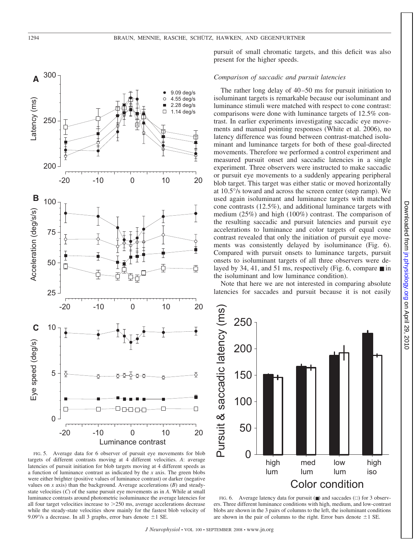

FIG. 5. Average data for 6 observer of pursuit eye movements for blob targets of different contrasts moving at 4 different velocities. *A*: average latencies of pursuit initiation for blob targets moving at 4 different speeds as a function of luminance contrast as indicated by the *x* axis. The green blobs were either brighter (positive values of luminance contrast) or darker (negative values on *x* axis) than the background. Average accelerations (*B*) and steadystate velocities (*C*) of the same pursuit eye movements as in *A*. While at small luminance contrasts around photometric isoluminance the average latencies for all four target velocities increase to  $>250$  ms, average accelerations decrease while the steady-state velocities show mainly for the fastest blob velocity of 9.09% a decrease. In all 3 graphs, error bars denote  $\pm 1$  SE.

pursuit of small chromatic targets, and this deficit was also present for the higher speeds.

## *Comparison of saccadic and pursuit latencies*

The rather long delay of 40–50 ms for pursuit initiation to isoluminant targets is remarkable because our isoluminant and luminance stimuli were matched with respect to cone contrast: comparisons were done with luminance targets of 12.5% contrast. In earlier experiments investigating saccadic eye movements and manual pointing responses (White et al. 2006), no latency difference was found between contrast-matched isoluminant and luminance targets for both of these goal-directed movements. Therefore we performed a control experiment and measured pursuit onset and saccadic latencies in a single experiment. Three observers were instructed to make saccadic or pursuit eye movements to a suddenly appearing peripheral blob target. This target was either static or moved horizontally at 10.5°/s toward and across the screen center (step ramp). We used again isoluminant and luminance targets with matched cone contrasts (12.5%), and additional luminance targets with medium (25%) and high (100%) contrast. The comparison of the resulting saccadic and pursuit latencies and pursuit eye accelerations to luminance and color targets of equal cone contrast revealed that only the initiation of pursuit eye movements was consistently delayed by isoluminance (Fig. 6). Compared with pursuit onsets to luminance targets, pursuit onsets to isoluminant targets of all three observers were delayed by 34, 41, and 51 ms, respectively (Fig. 6, compare ■ in the isoluminant and low luminance condition).

Note that here we are not interested in comparing absolute latencies for saccades and pursuit because it is not easily



FIG. 6. Average latency data for pursuit  $(\blacksquare)$  and saccades  $(\square)$  for 3 observers. Three different luminance conditions with high, medium, and low-contrast blobs are shown in the 3 pairs of columns to the left, the isoluminant conditions are shown in the pair of columns to the right. Error bars denote  $\pm 1$  SE.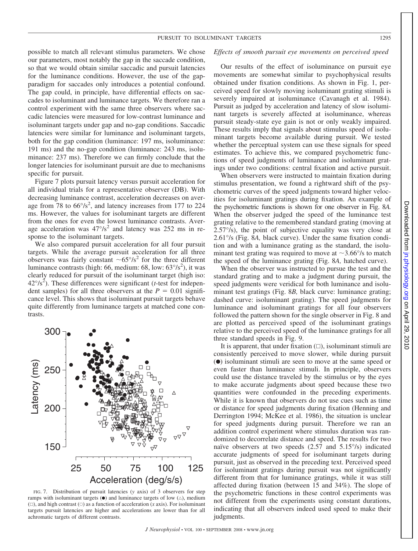possible to match all relevant stimulus parameters. We chose our parameters, most notably the gap in the saccade condition, so that we would obtain similar saccadic and pursuit latencies for the luminance conditions. However, the use of the gapparadigm for saccades only introduces a potential confound. The gap could, in principle, have differential effects on saccades to isoluminant and luminance targets. We therefore ran a control experiment with the same three observers where saccadic latencies were measured for low-contrast luminance and isoluminant targets under gap and no-gap conditions. Saccadic latencies were similar for luminance and isoluminant targets, both for the gap condition (luminance: 197 ms, isoluminance: 191 ms) and the no-gap condition (luminance: 243 ms, isoluminance: 237 ms). Therefore we can firmly conclude that the longer latencies for isoluminant pursuit are due to mechanisms specific for pursuit.

Figure 7 plots pursuit latency versus pursuit acceleration for all individual trials for a representative observer (DB). With decreasing luminance contrast, acceleration decreases on average from  $78$  to  $66^{\circ}/s^2$ , and latency increases from 177 to 224 ms. However, the values for isoluminant targets are different from the ones for even the lowest luminance contrasts. Average acceleration was  $47^{\circ}/s^2$  and latency was 252 ms in response to the isoluminant targets.

We also compared pursuit acceleration for all four pursuit targets. While the average pursuit acceleration for all three observers was fairly constant  $\sim 65^{\circ}/s^2$  for the three different luminance contrasts (high: 66, medium: 68, low:  $63^{\circ}/s^2$ ), it was clearly reduced for pursuit of the isoluminant target (high iso:  $42^{\circ}/s^2$ ). These differences were significant (*t*-test for independent samples) for all three observers at the  $P = 0.01$  significance level. This shows that isoluminant pursuit targets behave quite differently from luminance targets at matched cone contrasts.



FIG. 7. Distribution of pursuit latencies (*y* axis) of 3 observers for step ramps with isoluminant targets  $(\bullet)$  and luminance targets of low ( $\triangle$ ), medium  $(\square)$ , and high contrast  $(\bigcirc)$  as a function of acceleration (*x* axis). For isoluminant targets pursuit latencies are higher and accelerations are lower than for all achromatic targets of different contrasts.

## *Effects of smooth pursuit eye movements on perceived speed*

Our results of the effect of isoluminance on pursuit eye movements are somewhat similar to psychophysical results obtained under fixation conditions. As shown in Fig. 1, perceived speed for slowly moving isoluminant grating stimuli is severely impaired at isoluminance (Cavanagh et al. 1984). Pursuit as judged by acceleration and latency of slow isoluminant targets is severely affected at isoluminance, whereas pursuit steady-state eye gain is not or only weakly impaired. These results imply that signals about stimulus speed of isoluminant targets become available during pursuit. We tested whether the perceptual system can use these signals for speed estimates. To achieve this, we compared psychometric functions of speed judgments of luminance and isoluminant gratings under two conditions: central fixation and active pursuit.

When observers were instructed to maintain fixation during stimulus presentation, we found a rightward shift of the psychometric curves of the speed judgments toward higher velocities for isoluminant gratings during fixation. An example of the psychometric functions is shown for one observer in Fig. 8*A.* When the observer judged the speed of the luminance test grating relative to the remembered standard grating (moving at 2.57°/s), the point of subjective equality was very close at 2.61°/s (Fig. 8*A,* black curve). Under the same fixation condition and with a luminance grating as the standard, the isoluminant test grating was required to move at  $\sim$ 3.66°/s to match the speed of the luminance grating (Fig. 8*A,* hatched curve).

When the observer was instructed to pursue the test and the standard grating and to make a judgment during pursuit, the speed judgments were veridical for both luminance and isoluminant test gratings (Fig. 8*B,* black curve: luminance grating; dashed curve: isoluminant grating). The speed judgments for luminance and isoluminant gratings for all four observers followed the pattern shown for the single observer in Fig. 8 and are plotted as perceived speed of the isoluminant gratings relative to the perceived speed of the luminance gratings for all three standard speeds in Fig. 9.

It is apparent, that under fixation  $(\square)$ , isoluminant stimuli are consistently perceived to move slower, while during pursuit (F) isoluminant stimuli are seen to move at the same speed or even faster than luminance stimuli. In principle, observers could use the distance traveled by the stimulus or by the eyes to make accurate judgments about speed because these two quantities were confounded in the preceding experiments. While it is known that observers do not use cues such as time or distance for speed judgments during fixation (Henning and Derrington 1994; McKee et al. 1986), the situation is unclear for speed judgments during pursuit. Therefore we ran an addition control experiment where stimulus duration was randomized to decorrelate distance and speed. The results for two naïve observers at two speeds  $(2.57 \text{ and } 5.15\textdegree/s)$  indicated accurate judgments of speed for isoluminant targets during pursuit, just as observed in the preceding text. Perceived speed for isoluminant gratings during pursuit was not significantly different from that for luminance gratings, while it was still affected during fixation (between 15 and 34%). The slope of the psychometric functions in these control experiments was not different from the experiments using constant durations, indicating that all observers indeed used speed to make their judgments.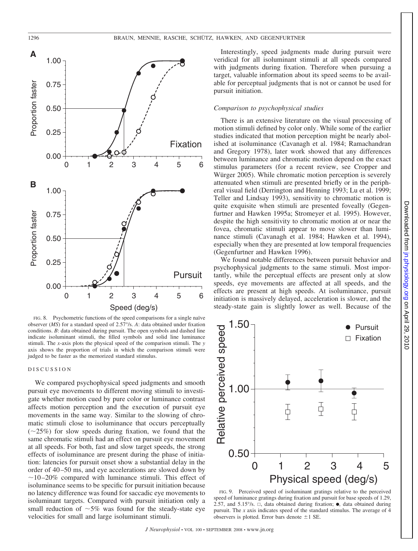

FIG. 8. Psychometric functions of the speed comparisons for a single naïve observer (*MS*) for a standard speed of 2.57°/s. *A*: data obtained under fixation conditions. *B*: data obtained during pursuit. The open symbols and dashed line indicate isoluminant stimuli, the filled symbols and solid line luminance stimuli. The *x*-axis plots the physical speed of the comparison stimuli. The *y* axis shows the proportion of trials in which the comparison stimuli were judged to be faster as the memorized standard stimulus.

#### DISCUSSION

We compared psychophysical speed judgments and smooth pursuit eye movements to different moving stimuli to investigate whether motion cued by pure color or luminance contrast affects motion perception and the execution of pursuit eye movements in the same way. Similar to the slowing of chromatic stimuli close to isoluminance that occurs perceptually  $(-25%)$  for slow speeds during fixation, we found that the same chromatic stimuli had an effect on pursuit eye movement at all speeds. For both, fast and slow target speeds, the strong effects of isoluminance are present during the phase of initiation: latencies for pursuit onset show a substantial delay in the order of 40 –50 ms, and eye accelerations are slowed down by  $\sim$ 10-20% compared with luminance stimuli. This effect of isoluminance seems to be specific for pursuit initiation because no latency difference was found for saccadic eye movements to isoluminant targets. Compared with pursuit initiation only a small reduction of  $\sim$  5% was found for the steady-state eye velocities for small and large isoluminant stimuli.

Interestingly, speed judgments made during pursuit were veridical for all isoluminant stimuli at all speeds compared with judgments during fixation. Therefore when pursuing a target, valuable information about its speed seems to be available for perceptual judgments that is not or cannot be used for pursuit initiation.

#### *Comparison to psychophysical studies*

There is an extensive literature on the visual processing of motion stimuli defined by color only. While some of the earlier studies indicated that motion perception might be nearly abolished at isoluminance (Cavanagh et al. 1984; Ramachandran and Gregory 1978), later work showed that any differences between luminance and chromatic motion depend on the exact stimulus parameters (for a recent review, see Cropper and Würger 2005). While chromatic motion perception is severely attenuated when stimuli are presented briefly or in the peripheral visual field (Derrington and Henning 1993; Lu et al. 1999; Teller and Lindsay 1993), sensitivity to chromatic motion is quite exquisite when stimuli are presented foveally (Gegenfurtner and Hawken 1995a; Stromeyer et al. 1995). However, despite the high sensitivity to chromatic motion at or near the fovea, chromatic stimuli appear to move slower than luminance stimuli (Cavanagh et al. 1984; Hawken et al. 1994), especially when they are presented at low temporal frequencies (Gegenfurtner and Hawken 1996).

We found notable differences between pursuit behavior and psychophysical judgments to the same stimuli. Most importantly, while the perceptual effects are present only at slow speeds, eye movements are affected at all speeds, and the effects are present at high speeds. At isoluminance, pursuit initiation is massively delayed, acceleration is slower, and the steady-state gain is slightly lower as well. Because of the



FIG. 9. Perceived speed of isoluminant gratings relative to the perceived speed of luminance gratings during fixation and pursuit for base speeds of 1.29, 2.57, and 5.15°/s.  $\Box$ , data obtained during fixation;  $\bullet$ , data obtained during pursuit. The *x* axis indicates speed of the standard stimulus. The average of 4 observers is plotted. Error bars denote  $\pm 1$  SE.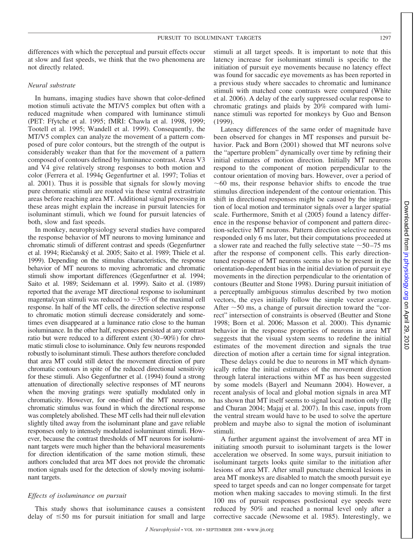differences with which the perceptual and pursuit effects occur at slow and fast speeds, we think that the two phenomena are not directly related.

#### *Neural substrate*

In humans, imaging studies have shown that color-defined motion stimuli activate the MT/V5 complex but often with a reduced magnitude when compared with luminance stimuli (PET: Ffytche et al. 1995; fMRI: Chawla et al. 1998, 1999; Tootell et al. 1995; Wandell et al. 1999). Consequently, the MT/V5 complex can analyze the movement of a pattern composed of pure color contours, but the strength of the output is considerably weaker than that for the movement of a pattern composed of contours defined by luminance contrast. Areas V3 and V4 give relatively strong responses to both motion and color (Ferrera et al. 1994ç Gegenfurtner et al. 1997; Tolias et al. 2001). Thus it is possible that signals for slowly moving pure chromatic stimuli are routed via these ventral extrastriate areas before reaching area MT. Additional signal processing in these areas might explain the increase in pursuit latencies for isoluminant stimuli, which we found for pursuit latencies of both, slow and fast speeds.

In monkey, neurophysiology several studies have compared the response behavior of MT neurons to moving luminance and chromatic stimuli of different contrast and speeds (Gegenfurtner et al. 1994; Riečanský et al. 2005; Saito et al. 1989; Thiele et al. 1999). Depending on the stimulus characteristics, the response behavior of MT neurons to moving achromatic and chromatic stimuli show important differences (Gegenfurtner et al. 1994; Saito et al. 1989; Seidemann et al. 1999). Saito et al. (1989) reported that the average MT directional response to isoluminant magenta/cyan stimuli was reduced to  $\sim$ 35% of the maximal cell response. In half of the MT cells, the direction selective response to chromatic motion stimuli decrease considerately and sometimes even disappeared at a luminance ratio close to the human isoluminance. In the other half, responses persisted at any contrast ratio but were reduced to a different extent (30 –90%) for chromatic stimuli close to isoluminance. Only few neurons responded robustly to isoluminant stimuli. These authors therefore concluded that area MT could still detect the movement direction of pure chromatic contours in spite of the reduced directional sensitivity for these stimuli. Also Gegenfurtner et al. (1994) found a strong attenuation of directionally selective responses of MT neurons when the moving gratings were spatially modulated only in chromaticity. However, for one-third of the MT neurons, no chromatic stimulus was found in which the directional response was completely abolished. These MT cells had their null elevation slightly tilted away from the isoluminant plane and gave reliable responses only to intensely modulated isoluminant stimuli. However, because the contrast thresholds of MT neurons for isoluminant targets were much higher than the behavioral measurements for direction identification of the same motion stimuli, these authors concluded that area MT does not provide the chromatic motion signals used for the detection of slowly moving isoluminant targets.

#### *Effects of isoluminance on pursuit*

This study shows that isoluminance causes a consistent delay of  $\leq 50$  ms for pursuit initiation for small and large

stimuli at all target speeds. It is important to note that this latency increase for isoluminant stimuli is specific to the initiation of pursuit eye movements because no latency effect was found for saccadic eye movements as has been reported in a previous study where saccades to chromatic and luminance stimuli with matched cone contrasts were compared (White et al. 2006). A delay of the early suppressed ocular response to chromatic gratings and plaids by 20% compared with luminance stimuli was reported for monkeys by Guo and Benson (1999).

Latency differences of the same order of magnitude have been observed for changes in MT responses and pursuit behavior. Pack and Born (2001) showed that MT neurons solve the "aperture problem" dynamically over time by refining their initial estimates of motion direction. Initially MT neurons respond to the component of motion perpendicular to the contour orientation of moving bars. However, over a period of  $\sim$  60 ms, their response behavior shifts to encode the true stimulus direction independent of the contour orientation. This shift in directional responses might be caused by the integration of local motion and terminator signals over a larger spatial scale. Furthermore, Smith et al (2005) found a latency difference in the response behavior of component and pattern direction-selective MT neurons. Pattern direction selective neurons responded only 6 ms later, but their computations proceeded at a slower rate and reached the fully selective state  $\sim$  50–75 ms after the response of component cells. This early directiontuned response of MT neurons seems also to be present in the orientation-dependent bias in the initial deviation of pursuit eye movements in the direction perpendicular to the orientation of contours (Beutter and Stone 1998). During pursuit initiation of a perceptually ambiguous stimulus described by two motion vectors, the eyes initially follow the simple vector average. After  $\sim$  50 ms, a change of pursuit direction toward the "correct" intersection of constraints is observed (Beutter and Stone 1998; Born et al. 2006; Masson et al. 2000). This dynamic behavior in the response properties of neurons in area MT suggests that the visual system seems to redefine the initial estimates of the movement direction and signals the true direction of motion after a certain time for signal integration.

These delays could be due to neurons in MT which dynamically refine the initial estimates of the movement direction through lateral interactions within MT as has been suggested by some models (Bayerl and Neumann 2004). However, a recent analysis of local and global motion signals in area MT has shown that MT itself seems to signal local motion only (Ilg and Churan 2004; Majaj et al. 2007). In this case, inputs from the ventral stream would have to be used to solve the aperture problem and maybe also to signal the motion of isoluminant stimuli.

A further argument against the involvement of area MT in initiating smooth pursuit to isoluminant targets is the lower acceleration we observed. In some ways, pursuit initiation to isoluminant targets looks quite similar to the initiation after lesions of area MT. After small punctuate chemical lesions in area MT monkeys are disabled to match the smooth pursuit eye speed to target speeds and can no longer compensate for target motion when making saccades to moving stimuli. In the first 100 ms of pursuit responses postlesional eye speeds were reduced by 50% and reached a normal level only after a corrective saccade (Newsome et al. 1985). Interestingly, we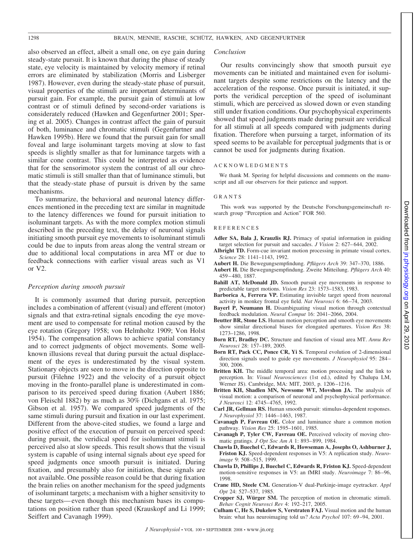also observed an effect, albeit a small one, on eye gain during steady-state pursuit. It is known that during the phase of steady state, eye velocity is maintained by velocity memory if retinal errors are eliminated by stabilization (Morris and Lisberger 1987). However, even during the steady-state phase of pursuit, visual properties of the stimuli are important determinants of pursuit gain. For example, the pursuit gain of stimuli at low contrast or of stimuli defined by second-order variations is considerately reduced (Hawken and Gegenfurtner 2001; Spering et al. 2005). Changes in contrast affect the gain of pursuit of both, luminance and chromatic stimuli (Gegenfurtner and Hawken 1995b). Here we found that the pursuit gain for small foveal and large isoluminant targets moving at slow to fast speeds is slightly smaller as that for luminance targets with a similar cone contrast. This could be interpreted as evidence that for the sensorimotor system the contrast of all our chromatic stimuli is still smaller than that of luminance stimuli, but that the steady-state phase of pursuit is driven by the same mechanisms.

To summarize, the behavioral and neuronal latency differences mentioned in the preceding text are similar in magnitude to the latency differences we found for pursuit initiation to isoluminant targets. As with the more complex motion stimuli described in the preceding text, the delay of neuronal signals initiating smooth pursuit eye movements to isoluminant stimuli could be due to inputs from areas along the ventral stream or due to additional local computations in area MT or due to feedback connections with earlier visual areas such as V1 or V2.

## *Perception during smooth pursuit*

It is commonly assumed that during pursuit, perception includes a combination of afferent (visual) and efferent (motor) signals and that extra-retinal signals encoding the eye movement are used to compensate for retinal motion caused by the eye rotation (Gregory 1958; von Helmholtz 1909; Von Holst 1954). The compensation allows to achieve spatial constancy and to correct judgments of object movements. Some wellknown illusions reveal that during pursuit the actual displacement of the eyes is underestimated by the visual system. Stationary objects are seen to move in the direction opposite to pursuit (Filehne 1922) and the velocity of a pursuit object moving in the fronto-parallel plane is underestimated in comparison to its perceived speed during fixation (Aubert 1886; von Fleischl 1882) by as much as 30% (Dichgans et al. 1975; Gibson et al. 1957). We compared speed judgments of the same stimuli during pursuit and fixation in our last experiment. Different from the above-cited studies, we found a large and positive effect of the execution of pursuit on perceived speed: during pursuit, the veridical speed for isoluminant stimuli is perceived also at slow speeds. This result shows that the visual system is capable of using internal signals about eye speed for speed judgments once smooth pursuit is initiated. During fixation, and presumably also for initiation, these signals are not available. One possible reason could be that during fixation the brain relies on another mechanism for the speed judgments of isoluminant targets; a mechanism with a higher sensitivity to these targets— even though this mechanism bases its computations on position rather than speed (Krauskopf and Li 1999; Seiffert and Cavanagh 1999).

#### *Conclusion*

Our results convincingly show that smooth pursuit eye movements can be initiated and maintained even for isoluminant targets despite some restrictions on the latency and the acceleration of the response. Once pursuit is initiated, it supports the veridical perception of the speed of isoluminant stimuli, which are perceived as slowed down or even standing still under fixation conditions. Our psychophysical experiments showed that speed judgments made during pursuit are veridical for all stimuli at all speeds compared with judgments during fixation. Therefore when pursuing a target, information of its speed seems to be available for perceptual judgments that is or cannot be used for judgments during fixation.

#### ACKNOWLEDGMENTS

We thank M. Spering for helpful discussions and comments on the manuscript and all our observers for their patience and support.

#### GRANTS

This work was supported by the Deutsche Forschungsgemeinschaft research group "Perception and Action" FOR 560.

#### REFERENCES

- **Adler SA, Bala J, Krauzlis RJ.** Primacy of spatial information in guiding target selection for pursuit and saccades. *J Vision* 2: 627–644, 2002.
- **Albright TD.** Form-cue invariant motion processing in primate visual cortex. *Science* 28: 1141–1143, 1992.
- Aubert H. Die Bewegungsempfindung. Pflügers Arch 39: 347–370, 1886.
- Aubert H. Die Bewegungsempfindung. Zweite Mitteilung. *Pflügers Arch* 40: 459 – 480, 1887.
- **Bahill AT, McDonald JD.** Smooth pursuit eye movements in response to predictable target motions. *Vision Res* 23: 1573–1583, 1983.
- **Barborica A, Ferrera VP.** Estimating invisible target speed from neuronal activity in monkey frontal eye field. *Nat Neurosci* 6: 66 –74, 2003.
- **Bayerl P, Neumann H.** Disambiguating visual motion through contextual feedback modulation. *Neural Comput* 16: 2041–2066, 2004.
- **Beutter BR, Stone LS.** Human motion perception and smooth eye movements show similar directional biases for elongated apertures. *Vision Res* 38: 1273–1286, 1998.
- **Born RT, Bradley DC.** Structure and function of visual area MT. *Annu Rev Neurosci* 28: 157–189, 2005.
- **Born RT, Pack CC, Ponce CR, Yi S.** Temporal evolution of 2-dimensional direction signals used to guide eye movements. *J Neurophysiol* 95: 284 – 300, 2006.
- **Britten KH.** The middle temporal area: motion processing and the link to perception. In: *Visual Neurosciences* (1st ed.), edited by Chalupa LM, Werner JS). Cambridge, MA: MIT, 2003, p. 1206 –1216.
- **Britten KH, Shadlen MN, Newsome WT, Movshon JA.** The analysis of visual motion: a comparison of neuronal and psychophysical performance. *J Neurosci* 12: 4745– 4765, 1992.
- **Carl JR, Gellman RS.** Human smooth pursuit: stimulus-dependent responses. *J Neurophysiol* 37: 1446 –1463, 1987.
- **Cavanagh P, Favreau OE.** Color and luminance share a common motion pathway. *Vision Res* 25: 1595–1601, 1985.
- **Cavanagh P, Tyler CW, Favreau OE.** Perceived velocity of moving chromatic gratings. *J Opt Soc Am A* 1: 893– 899, 1984.
- **Chawla D, Buechel C, Edwards R, Howseman A, Josephs O, Ashburner J, Friston KJ.** Speed-dependent responses in V5: A replication study. *Neuroimage* 9: 508 –515, 1999.
- **Chawla D, Phillips J, Buechel C, Edwards R, Friston KJ.** Speed-dependent motion-sensitive responses in V5: an fMRI study. *Neuroimage* 7: 86 –96, 1998.
- **Crane HD, Steele CM.** Generation-V dual-Purkinje-image eyetracker. *Appl Opt* 24: 527–537, 1985.
- Cropper SJ, Würger SM. The perception of motion in chromatic stimuli. *Behav Cognit Neurosci Rev* 4: 192–217, 2005.
- **Culham C, He S, Dukelow S, Verstraten FAJ.** Visual motion and the human brain: what has neuroimaging told us? *Acta Psychol* 107: 69 –94, 2001.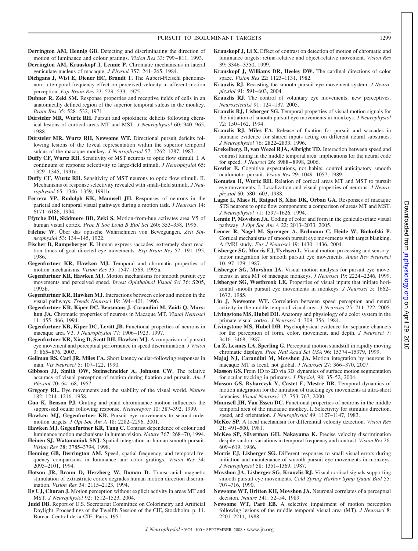- **Derrington AM, Hennig GB.** Detecting and discriminating the direction of motion of luminance and colour gratings. *Vision Res* 33: 799 – 811, 1993.
- **Derrington AM, Krauskopf J, Lennie P.** Chromatic mechanisms in lateral geniculate nucleus of macaque. *J Physiol* 357: 241–265, 1984.
- **Dichgans J, Wist E, Diener HC, Brandt T.** The Aubert-Fleischl phenomenon: a temporal frequency effect on perceived velocity in afferent motion perception. *Exp Brain Res* 23: 529 –533, 1975.
- **Dubner R, Zeki SM.** Response properties and receptive fields of cells in an anatomically defined region of the superior temporal sulcus in the monkey. *Brain Res* 35: 528 –532, 1971.
- **Dürsteler MR, Wurtz RH.** Pursuit and optokinetic deficits following chemical lesions of cortical areas MT and MST. *J Neurophysiol* 60: 940 –965, 1988.
- Dürsteler MR, Wurtz RH, Newsome WT. Directional pursuit deficits following lesions of the foveal representation within the superior temporal sulcus of the macaque monkey. *J Neurophysiol* 57: 1262–1287, 1987.
- **Duffy CF, Wurtz RH.** Sensitivity of MST neurons to optic flow stimuli. I. A continuum of response selectivity to large-field stimuli. *J Neurophysiol* 65: 1329 –1345, 1991a.
- **Duffy CF, Wurtz RH.** Sensitivity of MST neurons to optic flow stimuli. II. Mechanisms of response selectivity revealed with small-field stimuli. *J Neurophysiol* 65: 1346 –1359, 1991b.
- **Ferrera VP, Rudolph KK, Maunsell JH.** Responses of neurons in the parietal and temporal visual pathways during a motion task. *J Neurosci* 14: 6171– 6186, 1994.
- **Ffytche DH, Skidmore BD, Zeki S.** Motion-from-hue activates area V5 of human visual cortex. *Proc R Soc Lond B Biol Sci* 260: 353–358, 1995.
- Filehne W. Über das optische Wahrnehmen von Bewegungen. Zeit Sin*nesphysiol* 53: 134 –145, 1922.
- **Fischer B, Rampsberger E.** Human express-saccades: extremely short reaction times of goal directed eye movements. *Exp Brain Res* 57: 191–195, 1986.
- **Gegenfurtner KR, Hawken MJ.** Temporal and chromatic properties of motion mechanisms. *Vision Res* 35: 1547–1563, 1995a.
- **Gegenfurtner KR, Hawken MJ.** Motion mechanisms for smooth pursuit eye movements and perceived speed. *Invest Ophthalmol Visual Sci* 36: S205, 1995b.
- **Gegenfurtner KR, Hawken MJ.** Interactions between color and motion in the visual pathways. *Trends Neurosci* 19: 394 – 401, 1996.
- **Gegenfurtner KR, Kiper DC, Beusmans J, Carandini M, Zaidi Q, Movshon JA.** Chromatic properties of neurons in Macaque MT. *Visual Neurosci* 11: 455– 466, 1994.
- **Gegenfurtner KR, Kiper DC, Levitt JB.** Functional properties of neurons in macaque area V3. *J Neurophysiol* 77: 1906 –1923, 1997.
- **Gegenfurtner KR, Xing D, Scott BH, Hawken MJ.** A comparison of pursuit eye movement and perceptual performance in speed discrimination. *J Vision* 3: 865– 876, 2003.
- **Gellman RS, Carl JR, Miles FA.** Short latency ocular-following responses in man. *Vis Neurosci* 5: 107–122, 1990.
- **Gibbson JJ, Smith OW, Steinschneider A, Johnson CW.** The relative accuracy of visual perception of motion during fixation and pursuit. *Am J Physiol* 70: 64 – 68, 1957.
- **Gregory RL.** Eye movements and the stability of the visual world. *Nature* 182: 1214 –1216, 1958.
- **Guo K, Benson PJ.** Grating and plaid chrominance motion influences the suppressed ocular following response. *Neuroreport* 10: 387–392, 1999.
- **Hawken MJ, Gegenfurtner KR.** Pursuit eye movements to second-order motion targets. *J Opt Soc Am A* 18: 2282–2296, 2001.
- **Hawken MJ, Gegenfurtner KR, Tang C.** Contrast dependence of colour and luminance motion mechanisms in human vision. *Nature* 367: 268 –70, 1994.
- **Heinen SJ, Watamaniuk SNJ.** Spatial integration in human smooth pursuit. *Vision Res* 38: 3785–3794, 1998.
- **Henning GB, Derrington AM.** Speed, spatial-frequency, and temporal-frequency comparisons in luminance and color gratings. *Vision Res* 34: 2093–2101, 1994.
- **Hotson JR, Braun D, Herzberg W, Boman D.** Transcranial magnetic stimulation of extrastriate cortex degrades human motion direction discrimination. *Vision Res* 34: 2115–2123, 1994.
- **Ilg UJ, Churan J.** Motion perception without explicit activity in areas MT and MST. *J Neurophysiol* 92: 1512–1523, 2004.
- **Judd DB.** Report of U.S. Secretariat Committee on Colorimetry and Artificial Daylight. Proceedings of the Twelfth Session of the CIE, Stockholm, p. 11. Bureau Central de la CIE, Paris, 1951.
- **Krauskopf J, Li X.** Effect of contrast on detection of motion of chromatic and luminance targets: retina-relative and object-relative movement. *Vision Res* 39: 3346 –3350, 1999.
- **Krauskopf J, Williams DR, Heeley DW.** The cardinal directions of color space. *Vision Res* 22: 1123–1131, 1982.
- **Krauzlis RJ.** Recasting the smooth pursuit eye movement system. *J Neurophysiol* 91: 591– 603, 2004.
- **Krauzlis RJ.** The control of voluntary eye movements: new perceptives. *Neuroscientist* 91: 124 –137, 2005.
- **Krauzlis RJ, Lisberger SG.** Temporal properties of visual motion signals for the initiation of smooth pursuit eye movements in monkeys. *J Neurophysiol* 72: 150 –162, 1994.
- **Krauzlis RJ, Miles FA.** Release of fixation for pursuit and saccades in humans: evidence for shared inputs acting on different neural substrates. *J Neurophysiol* 76: 2822–2833, 1996.
- **Krekelberg, B, van Wezel RJA, Albright TD.** Interaction between speed and contrast tuning in the middle temporal area: implications for the neural code for speed. *J Neuroci* 26: 8988 – 8998, 2006.
- **Kowler E.** Cognitive expectations, not habits, control anticipatory smooth oculomotor pursuit. *Vision Res* 29: 1049 –1057, 1989.
- **Komatsu H, Wurtz RH.** Relation of cortical areas MT and MST to pursuit eye movements. I. Localization and visual properties of neurons. *J Neurophysiol* 60: 580 – 603, 1988.
- **Lagae L, Maes H, Raiguel S, Xiao DK, Orban GA.** Responses of macaque STS neurons to optic flow components: a comparison of areas MT and MST. *J Neurophysiol* 71: 1597–1626, 1994.
- **Lennie P, Movshon JA.** Coding of color and form in the geniculostriate visual pathway. *J Opt Soc Am A* 22: 2013–2033, 2005.
- **Lencer R, Nagel M, Sprenger A, Erdmann C, Heide W, Binkofski F.** Cortical mechanisms of smooth pursuit eye movements with target blanking. A fMRI study. *Eur J Neurosci* 19: 1430 –1436, 2004.
- **Lisberger SG, Morris EJ, Tychsen L.** Visual motion processing and sensorymotor integration for smooth pursuit eye movements. *Annu Rev Neurosci* 10: 97–129, 1987.
- **Lisberger SG, Movshon JA.** Visual motion analysis for pursuit eye movements in area MT of macaque monkeys. *J Neurosci* 19: 2224 –2246, 1999.
- **Lisberger SG, Westbrook LE.** Properties of visual inputs that initiate horizontal smooth pursuit eye movements in monkeys. *J Neurosci* 5: 1662– 1673, 1985.
- **Liu J, Newsome WT.** Correlation between speed perception and neural activity in the middle temporal visual area. *J Neurosci* 25: 711–722, 2005.
- **Livingstone MS, Hubel DH.** Anatomy and physiology of a color system in the primate visual cortex. *J Neurosci* 4: 309 –356, 1984.
- **Livingstone MS, Hubel DH.** Psychophysical evidence for separate channels for the perception of form, color, movement, and depth. *J Neurosci* 7: 3416 –3468, 1987.
- **Lu Z, Lesmes LA, Sperling G.** Perceptual motion standstill in rapidly moving chromatic displays. *Proc Natl Acad Sci USA* 96: 15374 –15379, 1999.
- **Majaj NJ, Carandini M, Movshon JA.** Motion integration by neurons in macaque MT is local, not global. *J Neurosci* 27: 366 –370, 2007.
- **Masson GS.** From 1D to 2D via 3D: dynamics of surface motion segmentation for ocular tracking in primates. *J Physiol,* 98: 35–52, 2004.
- **Masson GS, Rybarczyk Y, Castet E, Mestre DR.** Temporal dynamics of motion integration for the initiation of tracking eye movements at ultra-short latencies. *Visual Neurosci* 17: 753–767, 2000.
- **Maunsell JH, Van Essen DC.** Functional properties of neurons in the middle temporal area of the macaque monkey. I. Selectivity for stimulus direction, speed, and orientation. *J Neurophysiol* 49: 1127–1147, 1983.
- **McKee SP.** A local mechanism for differential velocity detection. *Vision Res* 21: 491–500, 1981.
- **McKee SP, Silverman GH, Nakayama K.** Precise velocity discrimination despite random variations in temporal frequency and contrast. *Vision Res* 26: 609 – 619, 1986.
- **Morris EJ, Lisberger SG.** Different responses to small visual errors during initiation and maintenance of smooth-pursuit eye movements in monkeys. *J Neurophysiol* 58: 1351–1369, 1987.
- **Movshon JA, Lisberger SG**, **Krauzlis RJ.** Visual cortical signals supporting smooth pursuit eye movements. *Cold Spring Harbor Symp Quant Biol* 55: 707–716, 1990.
- **Newsome WT, Britten KH, Movshon JA.** Neuronal correlates of a perceptual decision. *Nature* 341: 52–54, 1989.
- Newsome WT, Paré EB. A selective impairment of motion perception following lesions of the middle temporal visual area (MT). *J Neurosci* 8: 2201–2211, 1988.